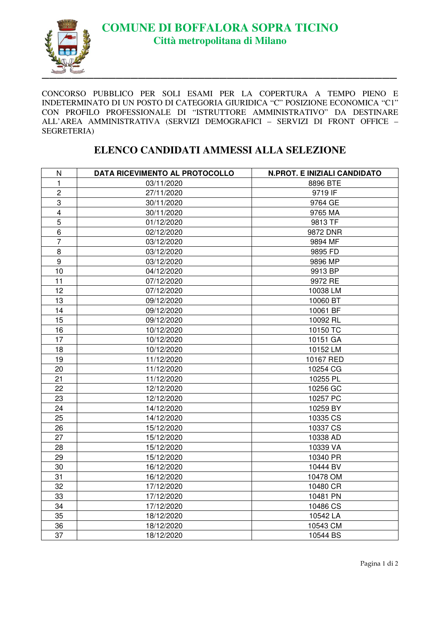

CONCORSO PUBBLICO PER SOLI ESAMI PER LA COPERTURA A TEMPO PIENO E INDETERMINATO DI UN POSTO DI CATEGORIA GIURIDICA "C" POSIZIONE ECONOMICA "C1" CON PROFILO PROFESSIONALE DI "ISTRUTTORE AMMINISTRATIVO" DA DESTINARE ALL'AREA AMMINISTRATIVA (SERVIZI DEMOGRAFICI – SERVIZI DI FRONT OFFICE – SEGRETERIA)

## **ELENCO CANDIDATI AMMESSI ALLA SELEZIONE**

| ${\sf N}$      | DATA RICEVIMENTO AL PROTOCOLLO | <b>N.PROT. E INIZIALI CANDIDATO</b> |
|----------------|--------------------------------|-------------------------------------|
| 1              | 03/11/2020                     | 8896 BTE                            |
| $\overline{2}$ | 27/11/2020                     | 9719 IF                             |
| $\,3$          | 30/11/2020                     | 9764 GE                             |
| $\overline{4}$ | 30/11/2020                     | 9765 MA                             |
| 5              | 01/12/2020                     | 9813 TF                             |
| 6              | 02/12/2020                     | 9872 DNR                            |
| $\overline{7}$ | 03/12/2020                     | 9894 MF                             |
| 8              | 03/12/2020                     | 9895 FD                             |
| 9              | 03/12/2020                     | 9896 MP                             |
| 10             | 04/12/2020                     | 9913 BP                             |
| 11             | 07/12/2020                     | 9972 RE                             |
| 12             | 07/12/2020                     | 10038 LM                            |
| 13             | 09/12/2020                     | 10060 BT                            |
| 14             | 09/12/2020                     | 10061 BF                            |
| 15             | 09/12/2020                     | 10092 RL                            |
| 16             | 10/12/2020                     | 10150 TC                            |
| 17             | 10/12/2020                     | 10151 GA                            |
| 18             | 10/12/2020                     | 10152 LM                            |
| 19             | 11/12/2020                     | 10167 RED                           |
| 20             | 11/12/2020                     | 10254 CG                            |
| 21             | 11/12/2020                     | 10255 PL                            |
| 22             | 12/12/2020                     | 10256 GC                            |
| 23             | 12/12/2020                     | 10257 PC                            |
| 24             | 14/12/2020                     | 10259 BY                            |
| 25             | 14/12/2020                     | 10335 CS                            |
| 26             | 15/12/2020                     | 10337 CS                            |
| 27             | 15/12/2020                     | 10338 AD                            |
| 28             | 15/12/2020                     | 10339 VA                            |
| 29             | 15/12/2020                     | 10340 PR                            |
| 30             | 16/12/2020                     | 10444 BV                            |
| 31             | 16/12/2020                     | 10478 OM                            |
| 32             | 17/12/2020                     | 10480 CR                            |
| 33             | 17/12/2020                     | 10481 PN                            |
| 34             | 17/12/2020                     | 10486 CS                            |
| 35             | 18/12/2020                     | 10542 LA                            |
| 36             | 18/12/2020                     | 10543 CM                            |
| 37             | 18/12/2020                     | 10544 BS                            |